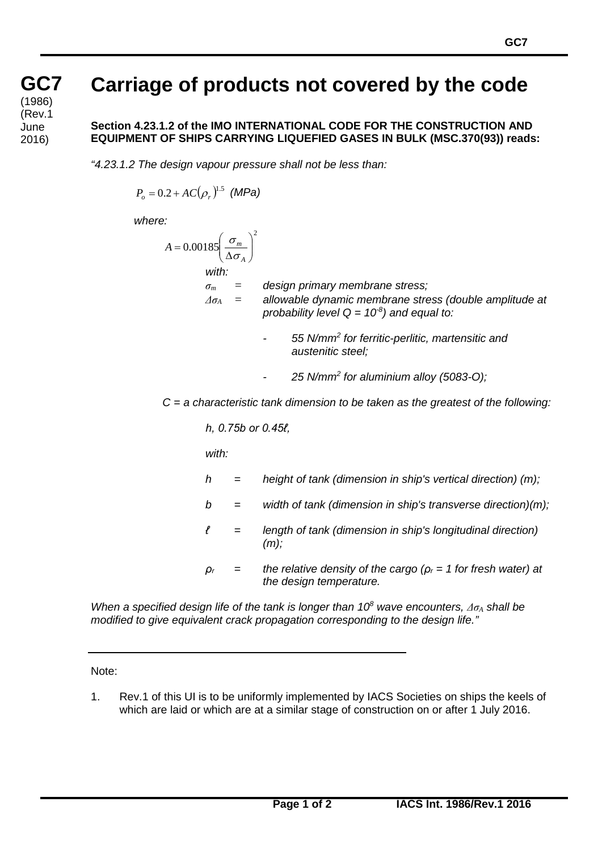## **Carriage of products not covered by the code**

**Section 4.23.1.2 of the IMO INTERNATIONAL CODE FOR THE CONSTRUCTION AND EQUIPMENT OF SHIPS CARRYING LIQUEFIED GASES IN BULK (MSC.370(93)) reads:**

*"4.23.1.2 The design vapour pressure shall not be less than:*

$$
P_o = 0.2 + AC(\rho_r)^{1.5} \text{ (MPa)}
$$

*where:*

**GC GC7**

**7** (Rev.1 (cont) June

2016)

(1986)

$$
A = 0.00185 \left( \frac{\sigma_m}{\Delta \sigma_A} \right)^2
$$
  
with:  
 $\sigma_m$  = design primary membrane stress;  
 $\Delta \sigma_A$  = allowable dynamic membrane stress (double amplitude at  
probability level Q = 10<sup>-8</sup>) and equal to:

- *- 55 N/mm<sup>2</sup> for ferritic-perlitic, martensitic and austenitic steel;*
- *- 25 N/mm<sup>2</sup> for aluminium alloy (5083-O);*

*C = a characteristic tank dimension to be taken as the greatest of the following:*

*h, 0.75b or 0.45ℓ,*

*with:*

- *h = height of tank (dimension in ship's vertical direction) (m);*
- *b = width of tank (dimension in ship's transverse direction)(m);*
- *ℓ = length of tank (dimension in ship's longitudinal direction) (m);*
- *ρ<sup>r</sup> = the relative density of the cargo (ρ<sup>r</sup> = 1 for fresh water) at the design temperature.*

*When a specified design life of the tank is longer than 10<sup>8</sup> wave encounters, Δσ<sup>A</sup> shall be modified to give equivalent crack propagation corresponding to the design life."*

Note:

1. Rev.1 of this UI is to be uniformly implemented by IACS Societies on ships the keels of which are laid or which are at a similar stage of construction on or after 1 July 2016.